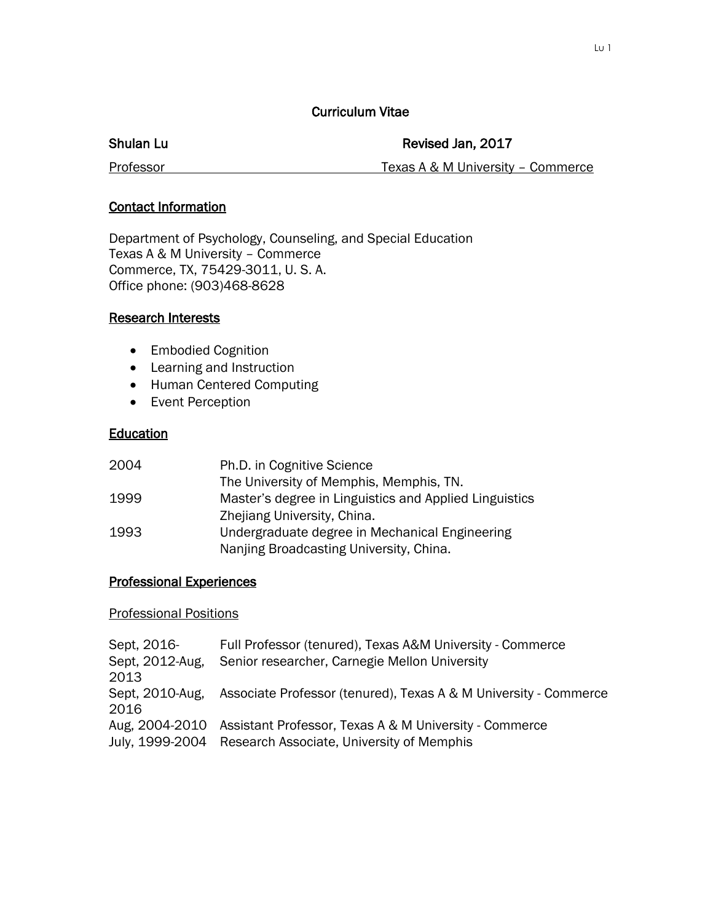#### Curriculum Vitae

#### Shulan Lu **Revised Jan, 2017**

Professor **Texas A & M University – Commerce** 

#### Contact Information

Department of Psychology, Counseling, and Special Education Texas A & M University – Commerce Commerce, TX, 75429-3011, U. S. A. Office phone: (903)468-8628

#### Research Interests

- Embodied Cognition
- Learning and Instruction
- Human Centered Computing
- Event Perception

## Education

| 2004 | Ph.D. in Cognitive Science                             |
|------|--------------------------------------------------------|
|      | The University of Memphis, Memphis, TN.                |
| 1999 | Master's degree in Linguistics and Applied Linguistics |
|      | Zhejiang University, China.                            |
| 1993 | Undergraduate degree in Mechanical Engineering         |
|      | Nanjing Broadcasting University, China.                |

## Professional Experiences

#### Professional Positions

| Full Professor (tenured), Texas A&M University - Commerce             |
|-----------------------------------------------------------------------|
| Senior researcher, Carnegie Mellon University                         |
|                                                                       |
| Associate Professor (tenured), Texas A & M University - Commerce      |
|                                                                       |
| Aug, 2004-2010 Assistant Professor, Texas A & M University - Commerce |
| July, 1999-2004 Research Associate, University of Memphis             |
|                                                                       |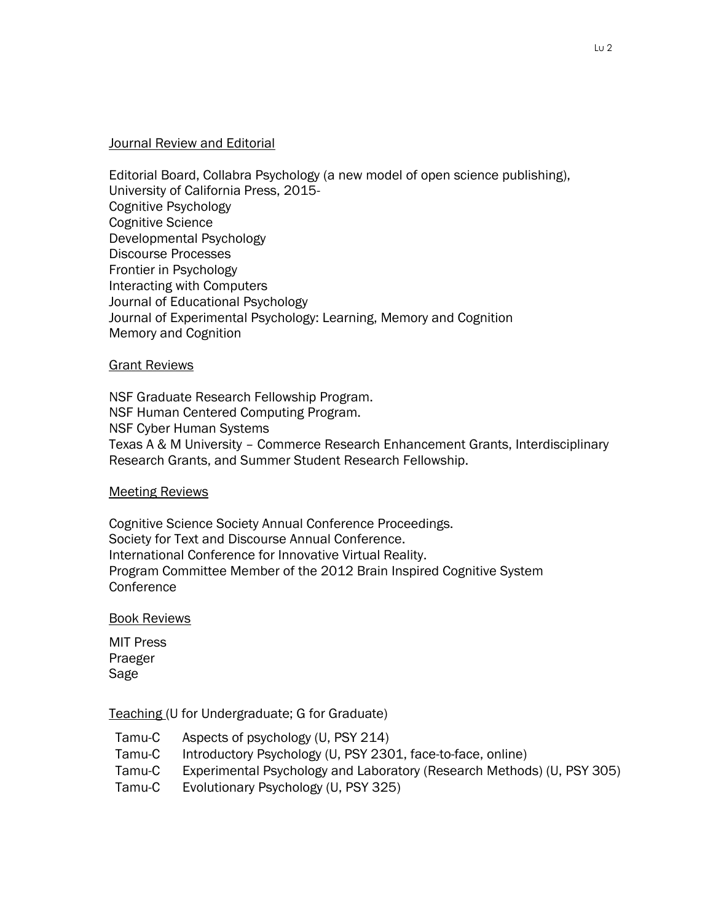#### Journal Review and Editorial

Editorial Board, Collabra Psychology (a new model of open science publishing), University of California Press, 2015- Cognitive Psychology Cognitive Science Developmental Psychology Discourse Processes Frontier in Psychology Interacting with Computers Journal of Educational Psychology Journal of Experimental Psychology: Learning, Memory and Cognition Memory and Cognition

#### Grant Reviews

NSF Graduate Research Fellowship Program. NSF Human Centered Computing Program. NSF Cyber Human Systems Texas A & M University – Commerce Research Enhancement Grants, Interdisciplinary Research Grants, and Summer Student Research Fellowship.

#### **Meeting Reviews**

Cognitive Science Society Annual Conference Proceedings. Society for Text and Discourse Annual Conference. International Conference for Innovative Virtual Reality. Program Committee Member of the 2012 Brain Inspired Cognitive System **Conference** 

#### Book Reviews

MIT Press Praeger Sage

Teaching (U for Undergraduate; G for Graduate)

- Tamu-C Aspects of psychology (U, PSY 214)
- Tamu-C Introductory Psychology (U, PSY 2301, face-to-face, online)
- Tamu-C Experimental Psychology and Laboratory (Research Methods) (U, PSY 305)
- Tamu-C Evolutionary Psychology (U, PSY 325)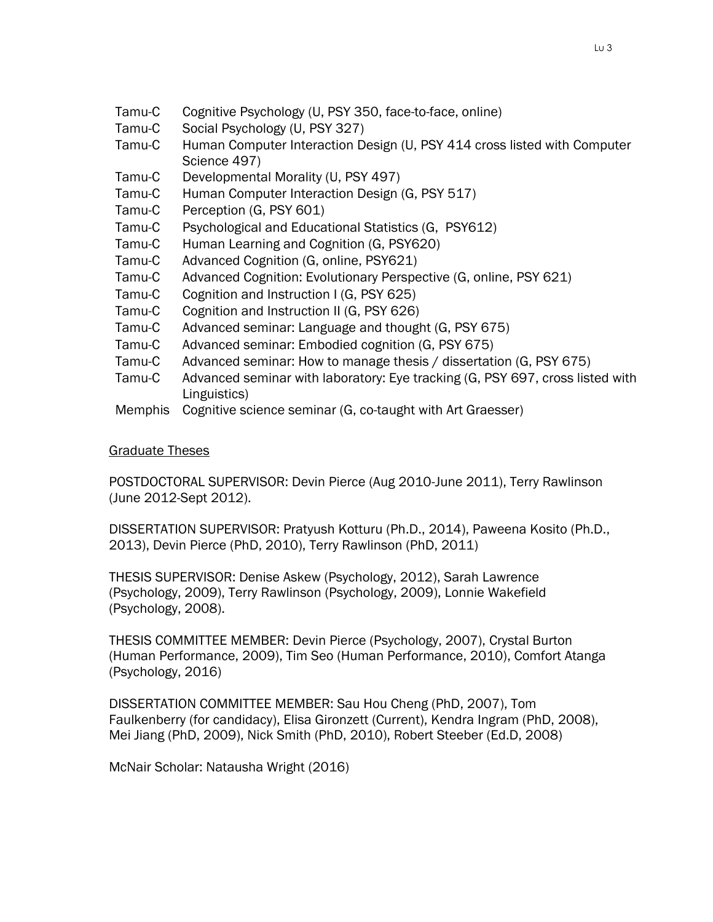- Tamu-C Cognitive Psychology (U, PSY 350, face-to-face, online)
- Tamu-C Social Psychology (U, PSY 327)
- Tamu-C Human Computer Interaction Design (U, PSY 414 cross listed with Computer Science 497)
- Tamu-C Developmental Morality (U, PSY 497)
- Tamu-C Human Computer Interaction Design (G, PSY 517)
- Tamu-C Perception (G, PSY 601)
- Tamu-C Psychological and Educational Statistics (G, PSY612)
- Tamu-C Human Learning and Cognition (G, PSY620)
- Tamu-C Advanced Cognition (G, online, PSY621)
- Tamu-C Advanced Cognition: Evolutionary Perspective (G, online, PSY 621)
- Tamu-C Cognition and Instruction I (G, PSY 625)
- Tamu-C Cognition and Instruction II (G, PSY 626)
- Tamu-C Advanced seminar: Language and thought (G, PSY 675)
- Tamu-C Advanced seminar: Embodied cognition (G, PSY 675)
- Tamu-C Advanced seminar: How to manage thesis / dissertation (G, PSY 675)
- Tamu-C Advanced seminar with laboratory: Eye tracking (G, PSY 697, cross listed with Linguistics)
- Memphis Cognitive science seminar (G, co-taught with Art Graesser)

#### Graduate Theses

POSTDOCTORAL SUPERVISOR: Devin Pierce (Aug 2010-June 2011), Terry Rawlinson (June 2012-Sept 2012).

DISSERTATION SUPERVISOR: Pratyush Kotturu (Ph.D., 2014), Paweena Kosito (Ph.D., 2013), Devin Pierce (PhD, 2010), Terry Rawlinson (PhD, 2011)

THESIS SUPERVISOR: Denise Askew (Psychology, 2012), Sarah Lawrence (Psychology, 2009), Terry Rawlinson (Psychology, 2009), Lonnie Wakefield (Psychology, 2008).

THESIS COMMITTEE MEMBER: Devin Pierce (Psychology, 2007), Crystal Burton (Human Performance, 2009), Tim Seo (Human Performance, 2010), Comfort Atanga (Psychology, 2016)

DISSERTATION COMMITTEE MEMBER: Sau Hou Cheng (PhD, 2007), Tom Faulkenberry (for candidacy), Elisa Gironzett (Current), Kendra Ingram (PhD, 2008), Mei Jiang (PhD, 2009), Nick Smith (PhD, 2010), Robert Steeber (Ed.D, 2008)

McNair Scholar: Natausha Wright (2016)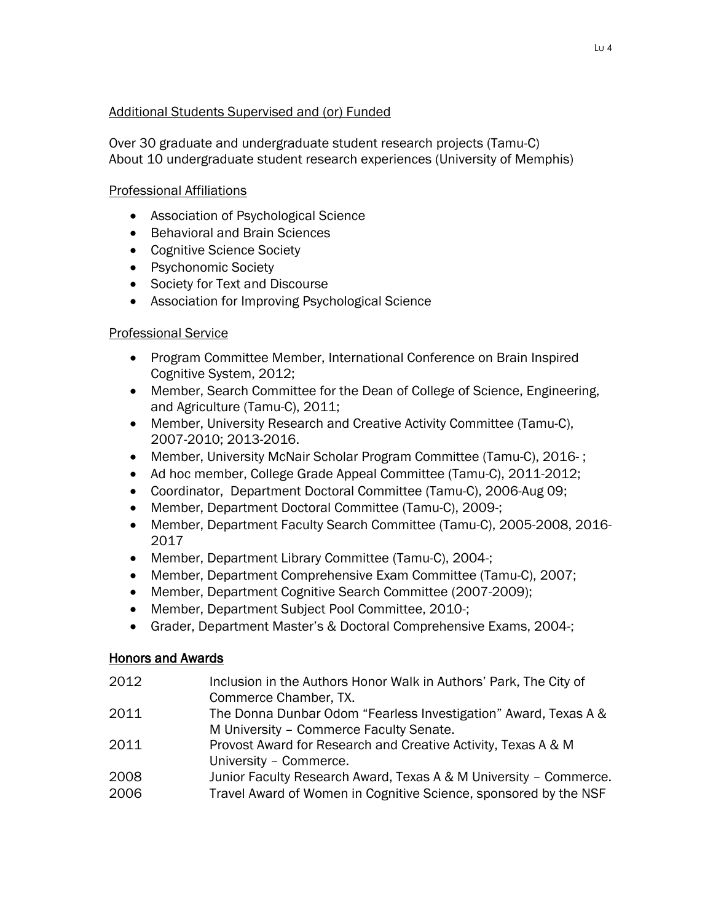# Additional Students Supervised and (or) Funded

Over 30 graduate and undergraduate student research projects (Tamu-C) About 10 undergraduate student research experiences (University of Memphis)

# Professional Affiliations

- Association of Psychological Science
- **•** Behavioral and Brain Sciences
- Cognitive Science Society
- Psychonomic Society
- Society for Text and Discourse
- Association for Improving Psychological Science

## Professional Service

- Program Committee Member, International Conference on Brain Inspired Cognitive System, 2012;
- Member, Search Committee for the Dean of College of Science, Engineering, and Agriculture (Tamu-C), 2011;
- Member, University Research and Creative Activity Committee (Tamu-C), 2007-2010; 2013-2016.
- Member, University McNair Scholar Program Committee (Tamu-C), 2016- ;
- Ad hoc member, College Grade Appeal Committee (Tamu-C), 2011-2012;
- Coordinator, Department Doctoral Committee (Tamu-C), 2006-Aug 09;
- Member, Department Doctoral Committee (Tamu-C), 2009-;
- Member, Department Faculty Search Committee (Tamu-C), 2005-2008, 2016- 2017
- Member, Department Library Committee (Tamu-C), 2004-;
- Member, Department Comprehensive Exam Committee (Tamu-C), 2007;
- Member, Department Cognitive Search Committee (2007-2009);
- Member, Department Subject Pool Committee, 2010-;
- Grader, Department Master's & Doctoral Comprehensive Exams, 2004-;

## Honors and Awards

- 2012 Inclusion in the Authors Honor Walk in Authors' Park, The City of Commerce Chamber, TX.
- 2011 The Donna Dunbar Odom "Fearless Investigation" Award, Texas A & M University – Commerce Faculty Senate.
- 2011 Provost Award for Research and Creative Activity, Texas A & M University – Commerce.
- 2008 Junior Faculty Research Award, Texas A & M University Commerce.
- 2006 Travel Award of Women in Cognitive Science, sponsored by the NSF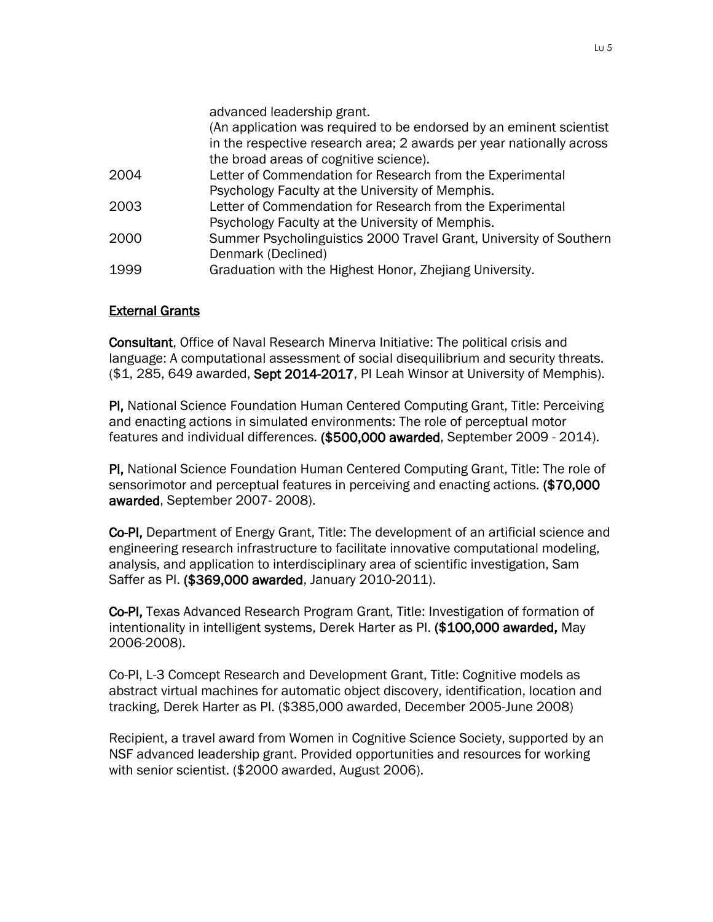|      | advanced leadership grant.                                           |
|------|----------------------------------------------------------------------|
|      | (An application was required to be endorsed by an eminent scientist  |
|      | in the respective research area; 2 awards per year nationally across |
|      | the broad areas of cognitive science).                               |
| 2004 | Letter of Commendation for Research from the Experimental            |
|      | Psychology Faculty at the University of Memphis.                     |
| 2003 | Letter of Commendation for Research from the Experimental            |
|      | Psychology Faculty at the University of Memphis.                     |
| 2000 | Summer Psycholinguistics 2000 Travel Grant, University of Southern   |
|      | Denmark (Declined)                                                   |
| 1999 | Graduation with the Highest Honor, Zhejiang University.              |

#### External Grants

Consultant, Office of Naval Research Minerva Initiative: The political crisis and language: A computational assessment of social disequilibrium and security threats. (\$1, 285, 649 awarded, Sept 2014-2017, PI Leah Winsor at University of Memphis).

PI, National Science Foundation Human Centered Computing Grant, Title: Perceiving and enacting actions in simulated environments: The role of perceptual motor features and individual differences. (\$500,000 awarded, September 2009 - 2014).

PI, National Science Foundation Human Centered Computing Grant, Title: The role of sensorimotor and perceptual features in perceiving and enacting actions. (\$70,000 awarded, September 2007- 2008).

Co-PI, Department of Energy Grant, Title: The development of an artificial science and engineering research infrastructure to facilitate innovative computational modeling, analysis, and application to interdisciplinary area of scientific investigation, Sam Saffer as PI. (\$369,000 awarded, January 2010-2011).

Co-PI, Texas Advanced Research Program Grant, Title: Investigation of formation of intentionality in intelligent systems, Derek Harter as PI. (\$100,000 awarded, May 2006-2008).

Co-PI, L-3 Comcept Research and Development Grant, Title: Cognitive models as abstract virtual machines for automatic object discovery, identification, location and tracking, Derek Harter as PI. (\$385,000 awarded, December 2005-June 2008)

Recipient, a travel award from Women in Cognitive Science Society, supported by an NSF advanced leadership grant. Provided opportunities and resources for working with senior scientist. (\$2000 awarded, August 2006).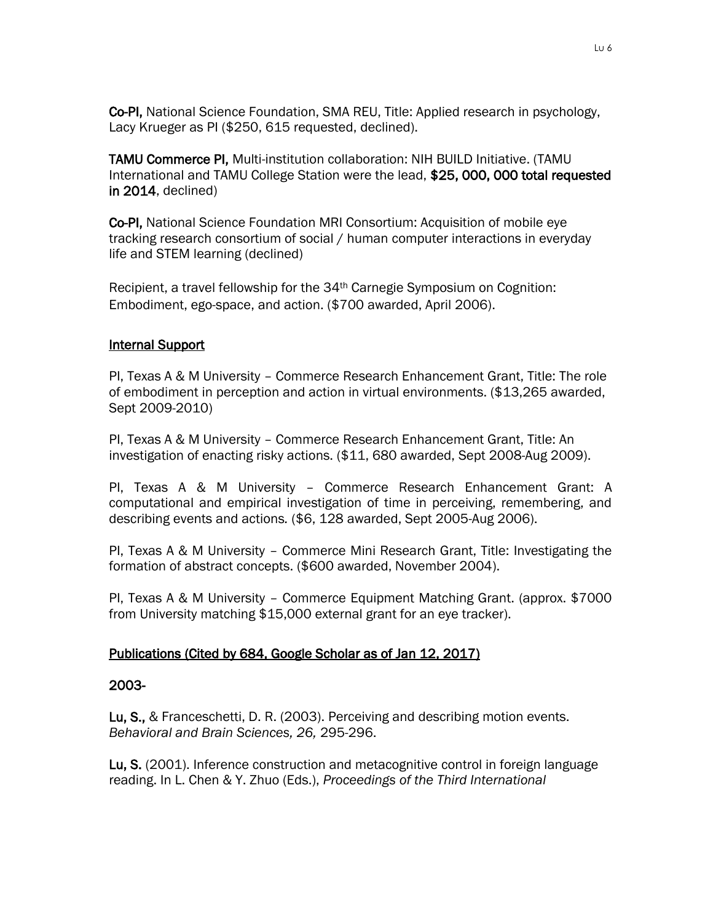Co-PI, National Science Foundation, SMA REU, Title: Applied research in psychology, Lacy Krueger as PI (\$250, 615 requested, declined).

TAMU Commerce PI, Multi-institution collaboration: NIH BUILD Initiative. (TAMU International and TAMU College Station were the lead, \$25, 000, 000 total requested in 2014, declined)

Co-PI, National Science Foundation MRI Consortium: Acquisition of mobile eye tracking research consortium of social / human computer interactions in everyday life and STEM learning (declined)

Recipient, a travel fellowship for the 34<sup>th</sup> Carnegie Symposium on Cognition: Embodiment, ego-space, and action. (\$700 awarded, April 2006).

## Internal Support

PI, Texas A & M University – Commerce Research Enhancement Grant, Title: The role of embodiment in perception and action in virtual environments. (\$13,265 awarded, Sept 2009-2010)

PI, Texas A & M University – Commerce Research Enhancement Grant, Title: An investigation of enacting risky actions. (\$11, 680 awarded, Sept 2008-Aug 2009).

PI, Texas A & M University – Commerce Research Enhancement Grant: A computational and empirical investigation of time in perceiving, remembering, and describing events and actions*.* (\$6, 128 awarded, Sept 2005-Aug 2006).

PI, Texas A & M University – Commerce Mini Research Grant, Title: Investigating the formation of abstract concepts. (\$600 awarded, November 2004).

PI, Texas A & M University – Commerce Equipment Matching Grant. (approx. \$7000 from University matching \$15,000 external grant for an eye tracker).

## Publications (Cited by 684, Google Scholar as of Jan 12, 2017)

## 2003-

Lu, S., & Franceschetti, D. R. (2003). Perceiving and describing motion events. *Behavioral and Brain Sciences, 26,* 295-296.

Lu, S. (2001). Inference construction and metacognitive control in foreign language reading. In L. Chen & Y. Zhuo (Eds.), *Proceedings of the Third International*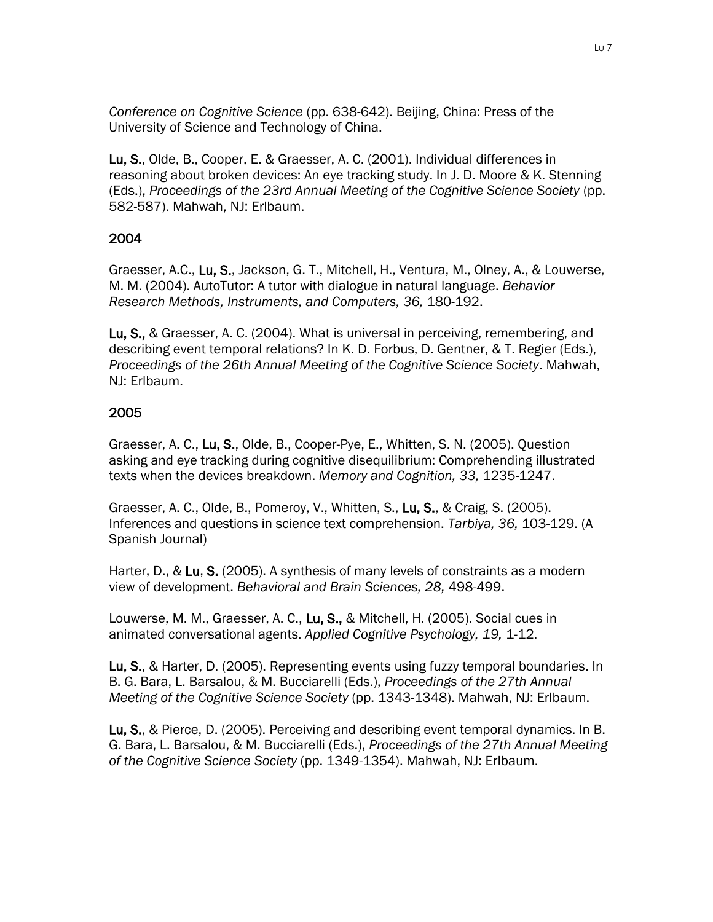*Conference on Cognitive Science* (pp. 638-642). Beijing, China: Press of the University of Science and Technology of China.

Lu, S., Olde, B., Cooper, E. & Graesser, A. C. (2001). Individual differences in reasoning about broken devices: An eye tracking study. In J. D. Moore & K. Stenning (Eds.), *Proceedings of the 23rd Annual Meeting of the Cognitive Science Society* (pp. 582-587). Mahwah, NJ: Erlbaum.

# 2004

Graesser, A.C., Lu, S., Jackson, G. T., Mitchell, H., Ventura, M., Olney, A., & Louwerse, M. M. (2004). AutoTutor: A tutor with dialogue in natural language. *Behavior Research Methods, Instruments, and Computers, 36,* 180-192.

Lu, S., & Graesser, A. C. (2004). What is universal in perceiving, remembering, and describing event temporal relations? In K. D. Forbus, D. Gentner, & T. Regier (Eds.), *Proceedings of the 26th Annual Meeting of the Cognitive Science Society*. Mahwah, NJ: Erlbaum.

# 2005

Graesser, A. C., Lu, S., Olde, B., Cooper-Pye, E., Whitten, S. N. (2005). Question asking and eye tracking during cognitive disequilibrium: Comprehending illustrated texts when the devices breakdown. *Memory and Cognition, 33,* 1235-1247.

Graesser, A. C., Olde, B., Pomeroy, V., Whitten, S., Lu, S., & Craig, S. (2005). Inferences and questions in science text comprehension. *Tarbiya, 36,* 103-129. (A Spanish Journal)

Harter, D., & Lu, S. (2005). A synthesis of many levels of constraints as a modern view of development. *Behavioral and Brain Sciences, 28,* 498-499.

Louwerse, M. M., Graesser, A. C., Lu, S., & Mitchell, H. (2005). Social cues in animated conversational agents. *Applied Cognitive Psychology, 19,* 1-12.

Lu, S., & Harter, D. (2005). Representing events using fuzzy temporal boundaries. In B. G. Bara, L. Barsalou, & M. Bucciarelli (Eds.), *Proceedings of the 27th Annual Meeting of the Cognitive Science Society* (pp. 1343-1348). Mahwah, NJ: Erlbaum.

Lu, S., & Pierce, D. (2005). Perceiving and describing event temporal dynamics. In B. G. Bara, L. Barsalou, & M. Bucciarelli (Eds.), *Proceedings of the 27th Annual Meeting of the Cognitive Science Society* (pp. 1349-1354). Mahwah, NJ: Erlbaum.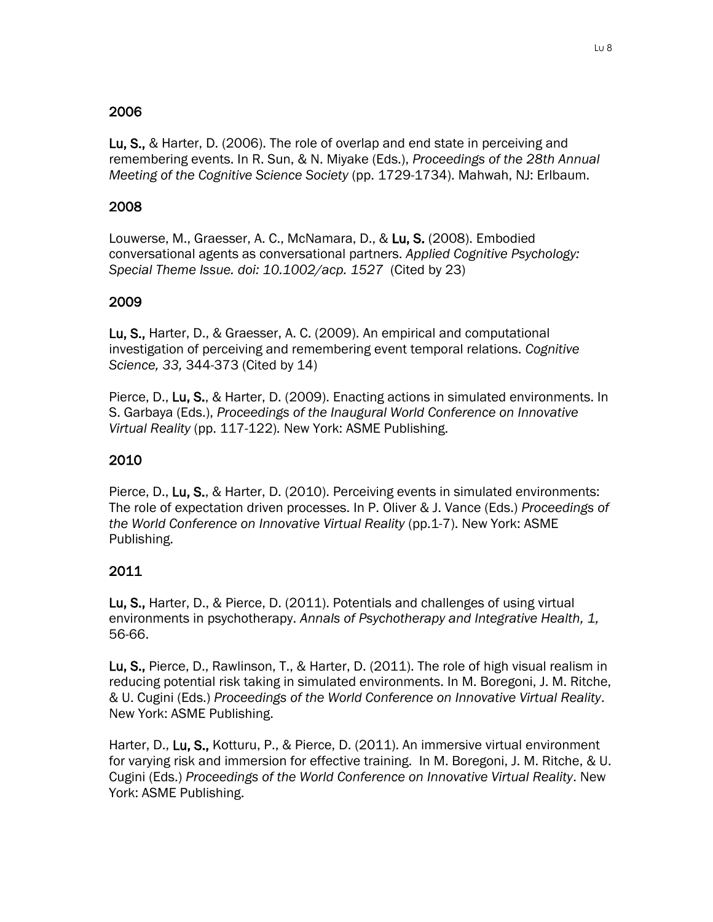# 2006

Lu, S., & Harter, D. (2006). The role of overlap and end state in perceiving and remembering events. In R. Sun, & N. Miyake (Eds.), *Proceedings of the 28th Annual Meeting of the Cognitive Science Society* (pp. 1729-1734). Mahwah, NJ: Erlbaum.

# 2008

Louwerse, M., Graesser, A. C., McNamara, D., & Lu, S. (2008). Embodied conversational agents as conversational partners. *Applied Cognitive Psychology: Special Theme Issue. doi: 10.1002/acp. 1527* (Cited by 23)

## 2009

Lu, S., Harter, D., & Graesser, A. C. (2009). An empirical and computational investigation of perceiving and remembering event temporal relations. *Cognitive Science, 33,* 344-373 (Cited by 14)

Pierce, D., Lu, S., & Harter, D. (2009). Enacting actions in simulated environments. In S. Garbaya (Eds.), *Proceedings of the Inaugural World Conference on Innovative Virtual Reality* (pp. 117-122)*.* New York: ASME Publishing.

# 2010

Pierce, D., Lu, S., & Harter, D. (2010). Perceiving events in simulated environments: The role of expectation driven processes. In P. Oliver & J. Vance (Eds.) *Proceedings of the World Conference on Innovative Virtual Reality (pp.1-7). New York: ASME* Publishing.

## 2011

Lu, S., Harter, D., & Pierce, D. (2011). Potentials and challenges of using virtual environments in psychotherapy. *Annals of Psychotherapy and Integrative Health, 1,*  56-66.

Lu, S., Pierce, D., Rawlinson, T., & Harter, D. (2011). The role of high visual realism in reducing potential risk taking in simulated environments. In M. Boregoni, J. M. Ritche, & U. Cugini (Eds.) *Proceedings of the World Conference on Innovative Virtual Reality*. New York: ASME Publishing.

Harter, D., Lu, S., Kotturu, P., & Pierce, D. (2011). An immersive virtual environment for varying risk and immersion for effective training. In M. Boregoni, J. M. Ritche, & U. Cugini (Eds.) *Proceedings of the World Conference on Innovative Virtual Reality*. New York: ASME Publishing.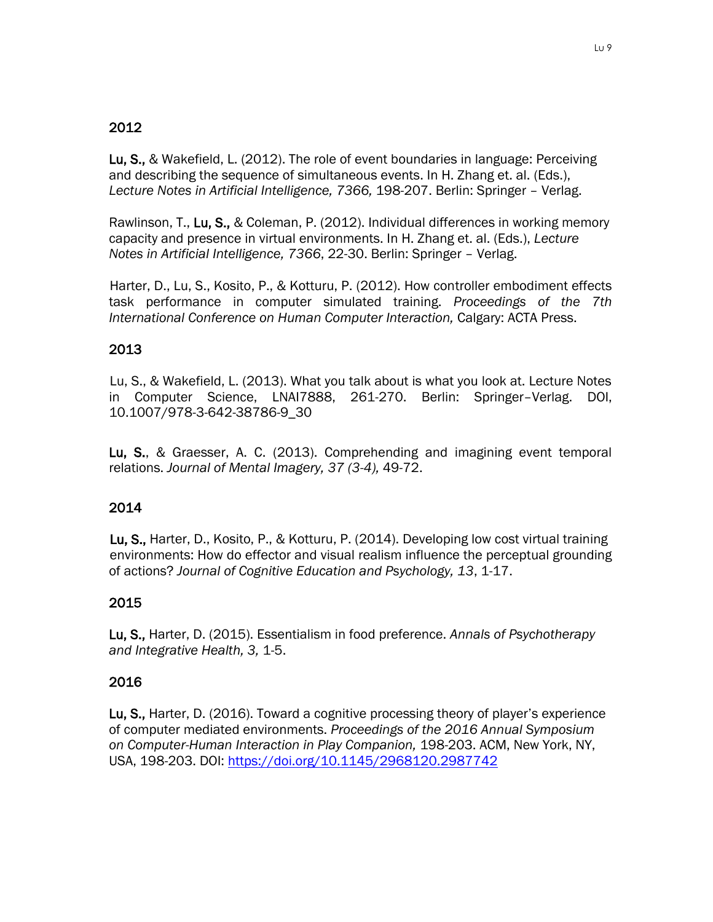# 2012

Lu, S., & Wakefield, L. (2012). The role of event boundaries in language: Perceiving and describing the sequence of simultaneous events. In H. Zhang et. al. (Eds.), *Lecture Notes in Artificial Intelligence, 7366,* 198-207. Berlin: Springer – Verlag.

Rawlinson, T., Lu, S., & Coleman, P. (2012). Individual differences in working memory capacity and presence in virtual environments. In H. Zhang et. al. (Eds.), *Lecture Notes in Artificial Intelligence, 7366*, 22-30. Berlin: Springer – Verlag.

Harter, D., Lu, S., Kosito, P., & Kotturu, P. (2012). How controller embodiment effects task performance in computer simulated training. *Proceedings of the 7th International Conference on Human Computer Interaction,* Calgary: ACTA Press.

# 2013

Lu, S., & Wakefield, L. (2013). What you talk about is what you look at. Lecture Notes in Computer Science, LNAI7888, 261-270. Berlin: Springer–Verlag. DOI, 10.1007/978-3-642-38786-9\_30

Lu, S., & Graesser, A. C. (2013). Comprehending and imagining event temporal relations. *Journal of Mental Imagery, 37 (3-4),* 49-72.

## 2014

Lu, S., Harter, D., Kosito, P., & Kotturu, P. (2014). Developing low cost virtual training environments: How do effector and visual realism influence the perceptual grounding of actions? *Journal of Cognitive Education and Psychology, 13*, 1-17.

## 2015

Lu, S., Harter, D. (2015). Essentialism in food preference. *Annals of Psychotherapy and Integrative Health, 3,* 1-5.

## 2016

Lu, S., Harter, D. (2016). Toward a cognitive processing theory of player's experience of computer mediated environments. *Proceedings of the 2016 Annual Symposium on Computer-Human Interaction in Play Companion,* 198-203. ACM, New York, NY, USA, 198-203. DOI:<https://doi.org/10.1145/2968120.2987742>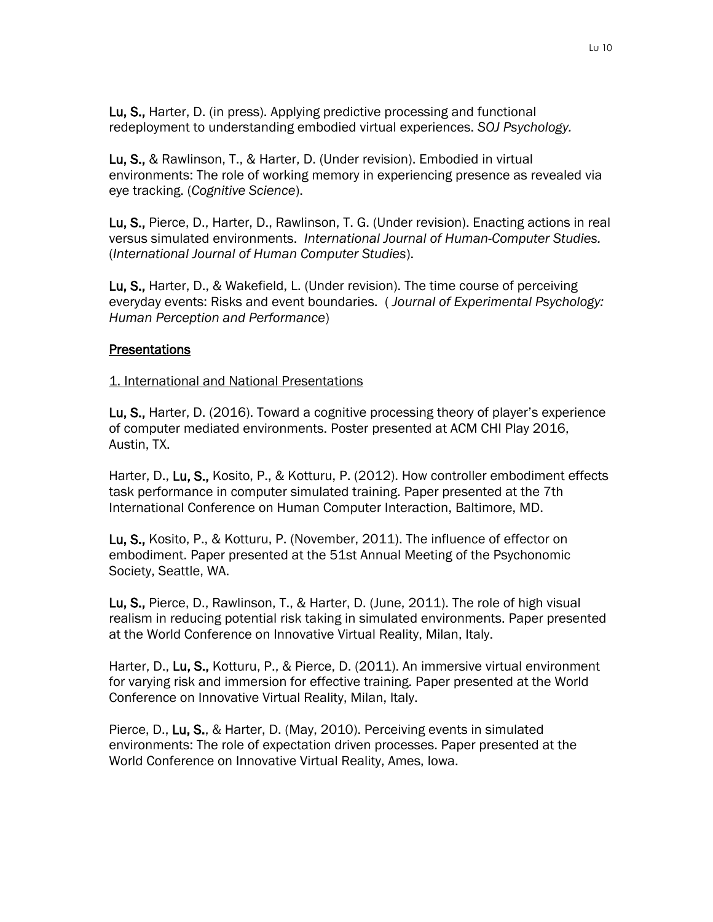Lu, S., Harter, D. (in press). Applying predictive processing and functional redeployment to understanding embodied virtual experiences. *SOJ Psychology.*

Lu, S., & Rawlinson, T., & Harter, D. (Under revision). Embodied in virtual environments: The role of working memory in experiencing presence as revealed via eye tracking. (*Cognitive Science*).

Lu, S., Pierce, D., Harter, D., Rawlinson, T. G. (Under revision). Enacting actions in real versus simulated environments. *International Journal of Human-Computer Studies.*  (*International Journal of Human Computer Studies*).

Lu, S., Harter, D., & Wakefield, L. (Under revision). The time course of perceiving everyday events: Risks and event boundaries. ( *Journal of Experimental Psychology: Human Perception and Performance*)

#### **Presentations**

#### 1. International and National Presentations

Lu, S., Harter, D. (2016). Toward a cognitive processing theory of player's experience of computer mediated environments. Poster presented at ACM CHI Play 2016, Austin, TX.

Harter, D., Lu, S., Kosito, P., & Kotturu, P. (2012). How controller embodiment effects task performance in computer simulated training. Paper presented at the 7th International Conference on Human Computer Interaction, Baltimore, MD.

Lu, S., Kosito, P., & Kotturu, P. (November, 2011). The influence of effector on embodiment. Paper presented at the 51st Annual Meeting of the Psychonomic Society, Seattle, WA.

Lu, S., Pierce, D., Rawlinson, T., & Harter, D. (June, 2011). The role of high visual realism in reducing potential risk taking in simulated environments. Paper presented at the World Conference on Innovative Virtual Reality, Milan, Italy.

Harter, D., Lu, S., Kotturu, P., & Pierce, D. (2011). An immersive virtual environment for varying risk and immersion for effective training. Paper presented at the World Conference on Innovative Virtual Reality, Milan, Italy.

Pierce, D., Lu, S., & Harter, D. (May, 2010). Perceiving events in simulated environments: The role of expectation driven processes. Paper presented at the World Conference on Innovative Virtual Reality, Ames, Iowa.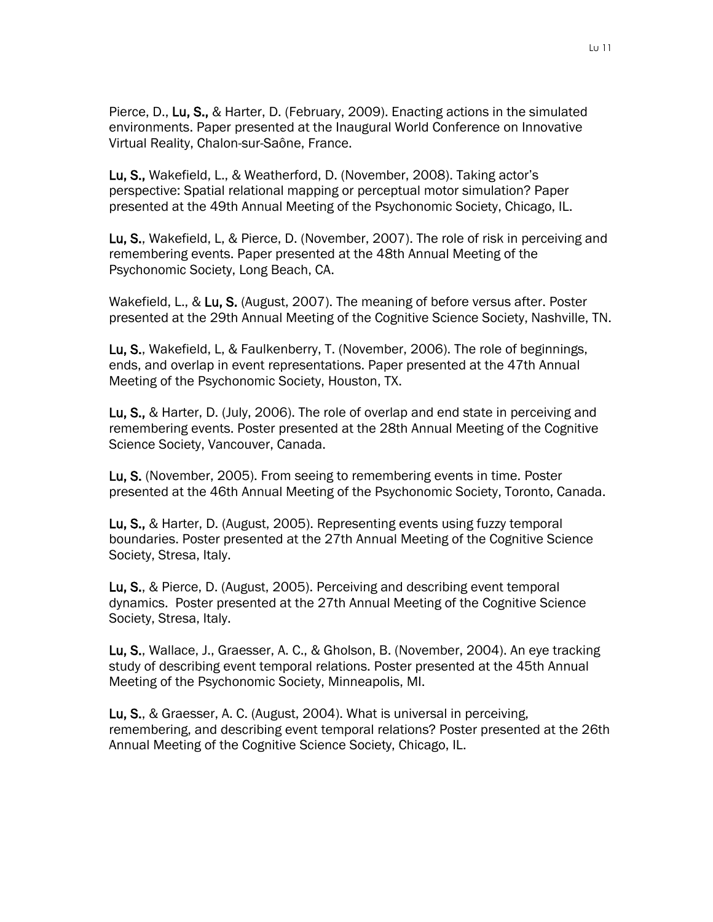Pierce, D., Lu, S., & Harter, D. (February, 2009). Enacting actions in the simulated environments. Paper presented at the Inaugural World Conference on Innovative Virtual Reality, Chalon-sur-Saône, France.

Lu, S., Wakefield, L., & Weatherford, D. (November, 2008). Taking actor's perspective: Spatial relational mapping or perceptual motor simulation? Paper presented at the 49th Annual Meeting of the Psychonomic Society, Chicago, IL.

Lu, S., Wakefield, L, & Pierce, D. (November, 2007). The role of risk in perceiving and remembering events. Paper presented at the 48th Annual Meeting of the Psychonomic Society, Long Beach, CA.

Wakefield, L., & Lu, S. (August, 2007). The meaning of before versus after. Poster presented at the 29th Annual Meeting of the Cognitive Science Society, Nashville, TN.

Lu, S., Wakefield, L, & Faulkenberry, T. (November, 2006). The role of beginnings, ends, and overlap in event representations. Paper presented at the 47th Annual Meeting of the Psychonomic Society, Houston, TX.

Lu, S., & Harter, D. (July, 2006). The role of overlap and end state in perceiving and remembering events. Poster presented at the 28th Annual Meeting of the Cognitive Science Society, Vancouver, Canada.

Lu, S. (November, 2005). From seeing to remembering events in time. Poster presented at the 46th Annual Meeting of the Psychonomic Society, Toronto, Canada.

Lu, S., & Harter, D. (August, 2005). Representing events using fuzzy temporal boundaries. Poster presented at the 27th Annual Meeting of the Cognitive Science Society, Stresa, Italy.

Lu, S., & Pierce, D. (August, 2005). Perceiving and describing event temporal dynamics. Poster presented at the 27th Annual Meeting of the Cognitive Science Society, Stresa, Italy.

Lu, S., Wallace, J., Graesser, A. C., & Gholson, B. (November, 2004). An eye tracking study of describing event temporal relations. Poster presented at the 45th Annual Meeting of the Psychonomic Society, Minneapolis, MI.

Lu, S., & Graesser, A. C. (August, 2004). What is universal in perceiving, remembering, and describing event temporal relations? Poster presented at the 26th Annual Meeting of the Cognitive Science Society, Chicago, IL.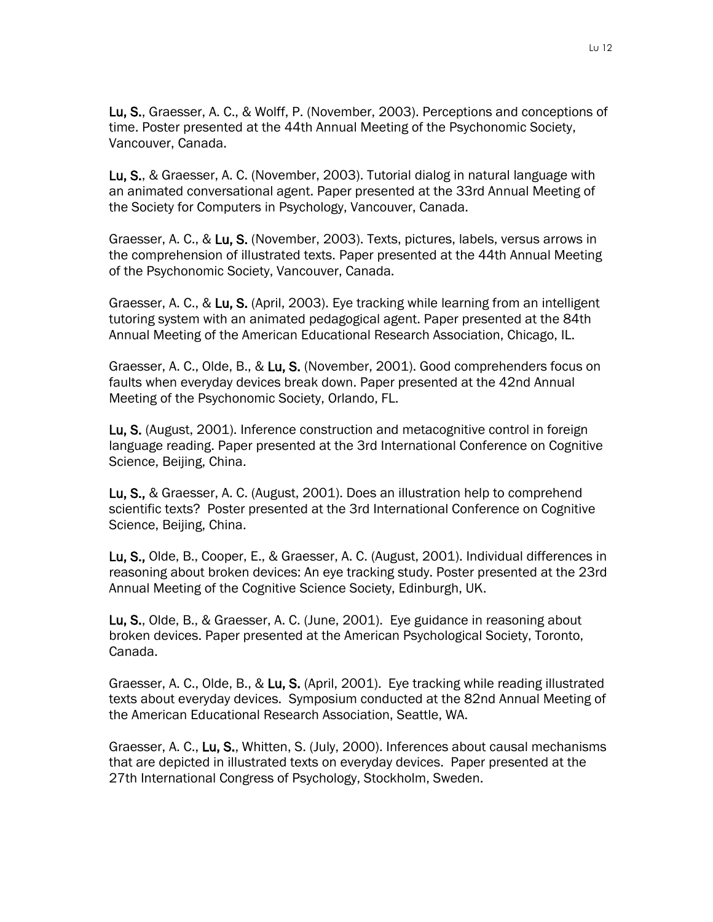Lu, S., Graesser, A. C., & Wolff, P. (November, 2003). Perceptions and conceptions of time. Poster presented at the 44th Annual Meeting of the Psychonomic Society, Vancouver, Canada.

Lu, S., & Graesser, A. C. (November, 2003). Tutorial dialog in natural language with an animated conversational agent. Paper presented at the 33rd Annual Meeting of the Society for Computers in Psychology, Vancouver, Canada.

Graesser, A. C., & Lu, S. (November, 2003). Texts, pictures, labels, versus arrows in the comprehension of illustrated texts. Paper presented at the 44th Annual Meeting of the Psychonomic Society, Vancouver, Canada.

Graesser, A. C., & Lu, S. (April, 2003). Eye tracking while learning from an intelligent tutoring system with an animated pedagogical agent. Paper presented at the 84th Annual Meeting of the American Educational Research Association, Chicago, IL.

Graesser, A. C., Olde, B., & Lu, S. (November, 2001). Good comprehenders focus on faults when everyday devices break down. Paper presented at the 42nd Annual Meeting of the Psychonomic Society, Orlando, FL.

Lu, S. (August, 2001). Inference construction and metacognitive control in foreign language reading. Paper presented at the 3rd International Conference on Cognitive Science, Beijing, China.

Lu, S., & Graesser, A. C. (August, 2001). Does an illustration help to comprehend scientific texts? Poster presented at the 3rd International Conference on Cognitive Science, Beijing, China.

Lu, S., Olde, B., Cooper, E., & Graesser, A. C. (August, 2001). Individual differences in reasoning about broken devices: An eye tracking study. Poster presented at the 23rd Annual Meeting of the Cognitive Science Society, Edinburgh, UK.

Lu, S., Olde, B., & Graesser, A. C. (June, 2001). Eye guidance in reasoning about broken devices. Paper presented at the American Psychological Society, Toronto, Canada.

Graesser, A. C., Olde, B., & Lu, S. (April, 2001). Eye tracking while reading illustrated texts about everyday devices. Symposium conducted at the 82nd Annual Meeting of the American Educational Research Association, Seattle, WA.

Graesser, A. C., Lu, S., Whitten, S. (July, 2000). Inferences about causal mechanisms that are depicted in illustrated texts on everyday devices. Paper presented at the 27th International Congress of Psychology, Stockholm, Sweden.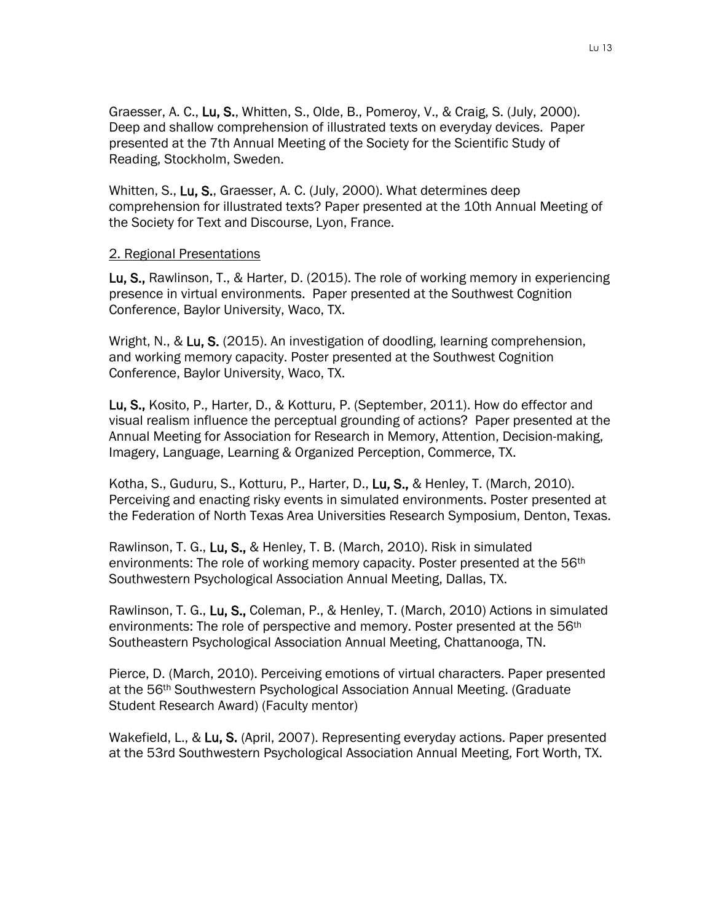Graesser, A. C., Lu, S., Whitten, S., Olde, B., Pomeroy, V., & Craig, S. (July, 2000). Deep and shallow comprehension of illustrated texts on everyday devices. Paper presented at the 7th Annual Meeting of the Society for the Scientific Study of Reading, Stockholm, Sweden.

Whitten, S., Lu, S., Graesser, A. C. (July, 2000). What determines deep comprehension for illustrated texts? Paper presented at the 10th Annual Meeting of the Society for Text and Discourse, Lyon, France.

#### 2. Regional Presentations

Lu, S., Rawlinson, T., & Harter, D. (2015). The role of working memory in experiencing presence in virtual environments. Paper presented at the Southwest Cognition Conference, Baylor University, Waco, TX.

Wright, N., & Lu, S. (2015). An investigation of doodling, learning comprehension, and working memory capacity. Poster presented at the Southwest Cognition Conference, Baylor University, Waco, TX.

Lu, S., Kosito, P., Harter, D., & Kotturu, P. (September, 2011). How do effector and visual realism influence the perceptual grounding of actions? Paper presented at the Annual Meeting for Association for Research in Memory, Attention, Decision-making, Imagery, Language, Learning & Organized Perception, Commerce, TX.

Kotha, S., Guduru, S., Kotturu, P., Harter, D., Lu, S., & Henley, T. (March, 2010). Perceiving and enacting risky events in simulated environments. Poster presented at the Federation of North Texas Area Universities Research Symposium, Denton, Texas.

Rawlinson, T. G., Lu, S., & Henley, T. B. (March, 2010). Risk in simulated environments: The role of working memory capacity. Poster presented at the 56th Southwestern Psychological Association Annual Meeting, Dallas, TX.

Rawlinson, T. G., Lu, S., Coleman, P., & Henley, T. (March, 2010) Actions in simulated environments: The role of perspective and memory. Poster presented at the 56<sup>th</sup> Southeastern Psychological Association Annual Meeting, Chattanooga, TN.

Pierce, D. (March, 2010). Perceiving emotions of virtual characters. Paper presented at the 56th Southwestern Psychological Association Annual Meeting. (Graduate Student Research Award) (Faculty mentor)

Wakefield, L., & Lu, S. (April, 2007). Representing everyday actions. Paper presented at the 53rd Southwestern Psychological Association Annual Meeting, Fort Worth, TX.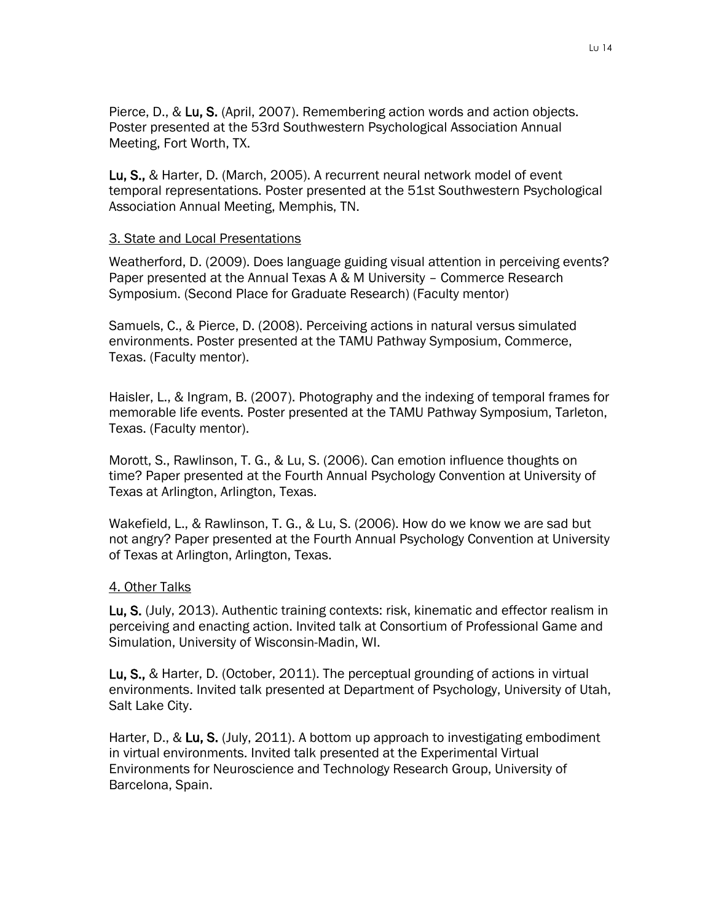Pierce, D., & Lu, S. (April, 2007). Remembering action words and action objects. Poster presented at the 53rd Southwestern Psychological Association Annual Meeting, Fort Worth, TX.

Lu, S., & Harter, D. (March, 2005). A recurrent neural network model of event temporal representations. Poster presented at the 51st Southwestern Psychological Association Annual Meeting, Memphis, TN.

#### 3. State and Local Presentations

Weatherford, D. (2009). Does language guiding visual attention in perceiving events? Paper presented at the Annual Texas A & M University – Commerce Research Symposium. (Second Place for Graduate Research) (Faculty mentor)

Samuels, C., & Pierce, D. (2008). Perceiving actions in natural versus simulated environments. Poster presented at the TAMU Pathway Symposium, Commerce, Texas. (Faculty mentor).

Haisler, L., & Ingram, B. (2007). Photography and the indexing of temporal frames for memorable life events. Poster presented at the TAMU Pathway Symposium, Tarleton, Texas. (Faculty mentor).

Morott, S., Rawlinson, T. G., & Lu, S. (2006). Can emotion influence thoughts on time? Paper presented at the Fourth Annual Psychology Convention at University of Texas at Arlington, Arlington, Texas.

Wakefield, L., & Rawlinson, T. G., & Lu, S. (2006). How do we know we are sad but not angry? Paper presented at the Fourth Annual Psychology Convention at University of Texas at Arlington, Arlington, Texas.

#### 4. Other Talks

Lu, S. (July, 2013). Authentic training contexts: risk, kinematic and effector realism in perceiving and enacting action. Invited talk at Consortium of Professional Game and Simulation, University of Wisconsin-Madin, WI.

Lu, S., & Harter, D. (October, 2011). The perceptual grounding of actions in virtual environments. Invited talk presented at Department of Psychology, University of Utah, Salt Lake City.

Harter, D., & Lu, S. (July, 2011). A bottom up approach to investigating embodiment in virtual environments. Invited talk presented at the Experimental Virtual Environments for Neuroscience and Technology Research Group, University of Barcelona, Spain.